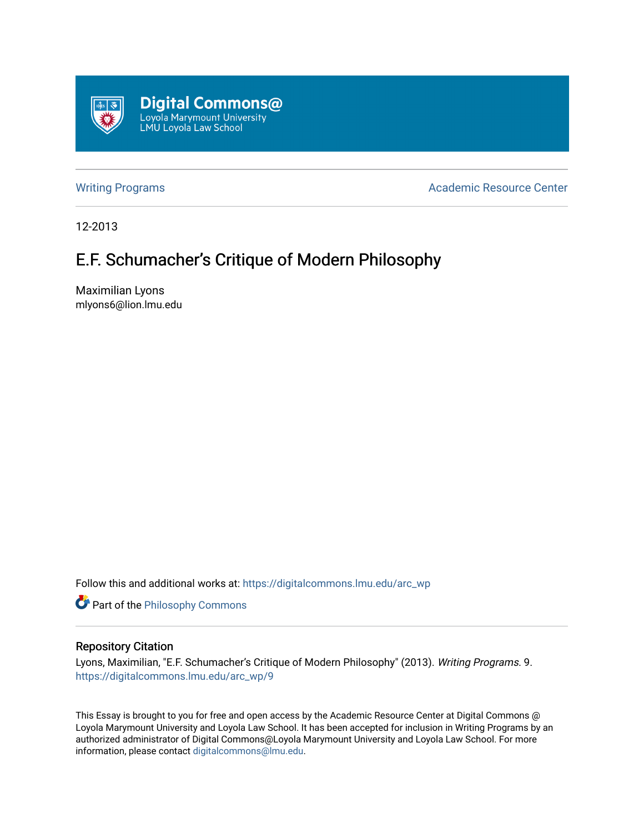

[Writing Programs](https://digitalcommons.lmu.edu/arc_wp) **Academic Resource Center** Academic Resource Center

12-2013

## E.F. Schumacher's Critique of Modern Philosophy

Maximilian Lyons mlyons6@lion.lmu.edu

Follow this and additional works at: [https://digitalcommons.lmu.edu/arc\\_wp](https://digitalcommons.lmu.edu/arc_wp?utm_source=digitalcommons.lmu.edu%2Farc_wp%2F9&utm_medium=PDF&utm_campaign=PDFCoverPages)

**Part of the Philosophy Commons** 

## Repository Citation

Lyons, Maximilian, "E.F. Schumacher's Critique of Modern Philosophy" (2013). Writing Programs. 9. [https://digitalcommons.lmu.edu/arc\\_wp/9](https://digitalcommons.lmu.edu/arc_wp/9?utm_source=digitalcommons.lmu.edu%2Farc_wp%2F9&utm_medium=PDF&utm_campaign=PDFCoverPages)

This Essay is brought to you for free and open access by the Academic Resource Center at Digital Commons @ Loyola Marymount University and Loyola Law School. It has been accepted for inclusion in Writing Programs by an authorized administrator of Digital Commons@Loyola Marymount University and Loyola Law School. For more information, please contact [digitalcommons@lmu.edu.](mailto:digitalcommons@lmu.edu)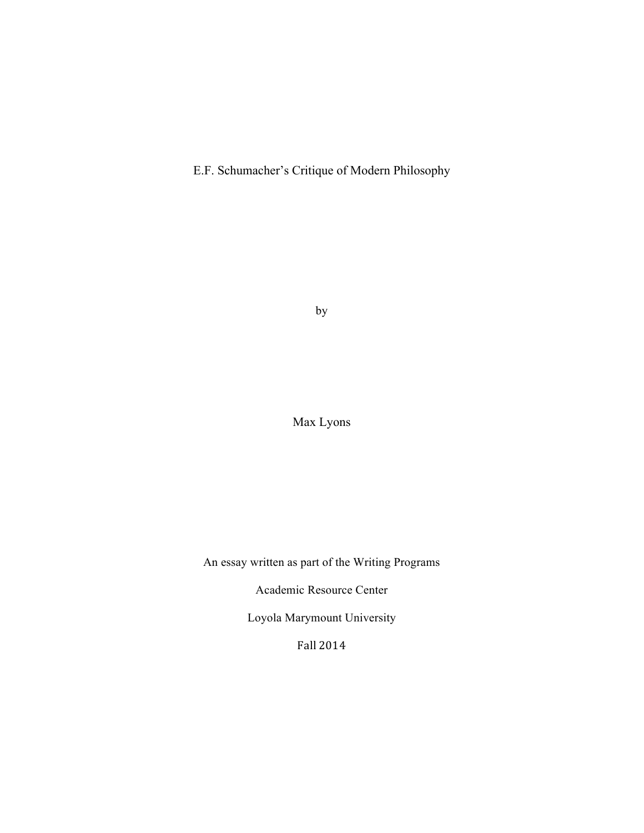E.F. Schumacher's Critique of Modern Philosophy

by

Max Lyons

An essay written as part of the Writing Programs

Academic Resource Center

Loyola Marymount University

Fall 2014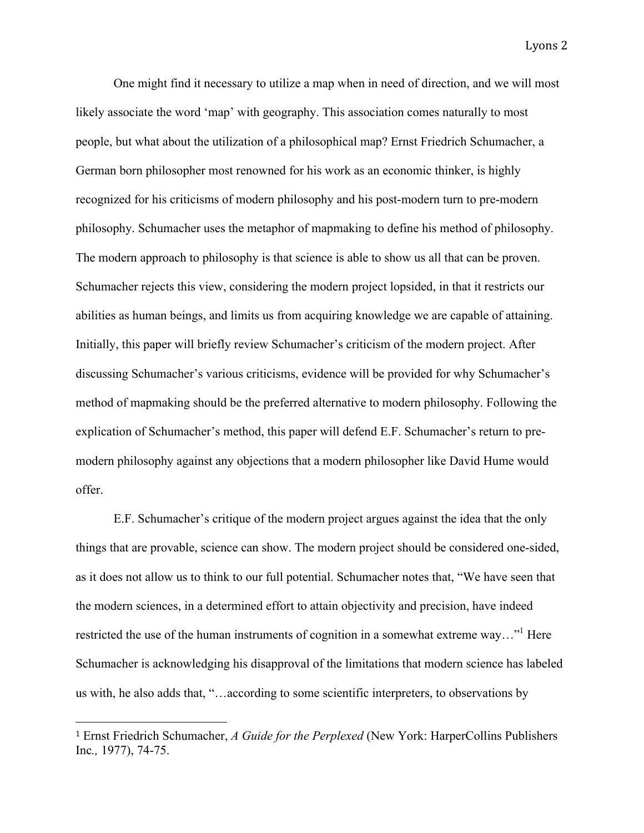One might find it necessary to utilize a map when in need of direction, and we will most likely associate the word 'map' with geography. This association comes naturally to most people, but what about the utilization of a philosophical map? Ernst Friedrich Schumacher, a German born philosopher most renowned for his work as an economic thinker, is highly recognized for his criticisms of modern philosophy and his post-modern turn to pre-modern philosophy. Schumacher uses the metaphor of mapmaking to define his method of philosophy. The modern approach to philosophy is that science is able to show us all that can be proven. Schumacher rejects this view, considering the modern project lopsided, in that it restricts our abilities as human beings, and limits us from acquiring knowledge we are capable of attaining. Initially, this paper will briefly review Schumacher's criticism of the modern project. After discussing Schumacher's various criticisms, evidence will be provided for why Schumacher's method of mapmaking should be the preferred alternative to modern philosophy. Following the explication of Schumacher's method, this paper will defend E.F. Schumacher's return to premodern philosophy against any objections that a modern philosopher like David Hume would offer.

E.F. Schumacher's critique of the modern project argues against the idea that the only things that are provable, science can show. The modern project should be considered one-sided, as it does not allow us to think to our full potential. Schumacher notes that, "We have seen that the modern sciences, in a determined effort to attain objectivity and precision, have indeed restricted the use of the human instruments of cognition in a somewhat extreme way..." Here Schumacher is acknowledging his disapproval of the limitations that modern science has labeled us with, he also adds that, "…according to some scientific interpreters, to observations by

 <sup>1</sup> Ernst Friedrich Schumacher, *A Guide for the Perplexed* (New York: HarperCollins Publishers Inc*.,* 1977), 74-75.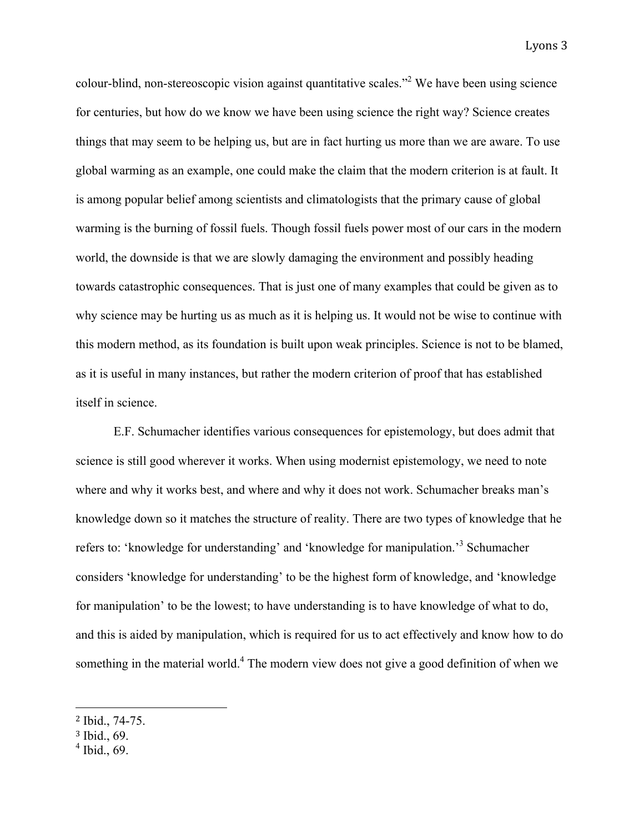colour-blind, non-stereoscopic vision against quantitative scales."2 We have been using science for centuries, but how do we know we have been using science the right way? Science creates things that may seem to be helping us, but are in fact hurting us more than we are aware. To use global warming as an example, one could make the claim that the modern criterion is at fault. It is among popular belief among scientists and climatologists that the primary cause of global warming is the burning of fossil fuels. Though fossil fuels power most of our cars in the modern world, the downside is that we are slowly damaging the environment and possibly heading towards catastrophic consequences. That is just one of many examples that could be given as to why science may be hurting us as much as it is helping us. It would not be wise to continue with this modern method, as its foundation is built upon weak principles. Science is not to be blamed, as it is useful in many instances, but rather the modern criterion of proof that has established itself in science.

E.F. Schumacher identifies various consequences for epistemology, but does admit that science is still good wherever it works. When using modernist epistemology, we need to note where and why it works best, and where and why it does not work. Schumacher breaks man's knowledge down so it matches the structure of reality. There are two types of knowledge that he refers to: 'knowledge for understanding' and 'knowledge for manipulation.'3 Schumacher considers 'knowledge for understanding' to be the highest form of knowledge, and 'knowledge for manipulation' to be the lowest; to have understanding is to have knowledge of what to do, and this is aided by manipulation, which is required for us to act effectively and know how to do something in the material world.<sup>4</sup> The modern view does not give a good definition of when we

 <sup>2</sup> Ibid., 74-75.

<sup>3</sup> Ibid., 69.

 $<sup>4</sup>$  Ibid., 69.</sup>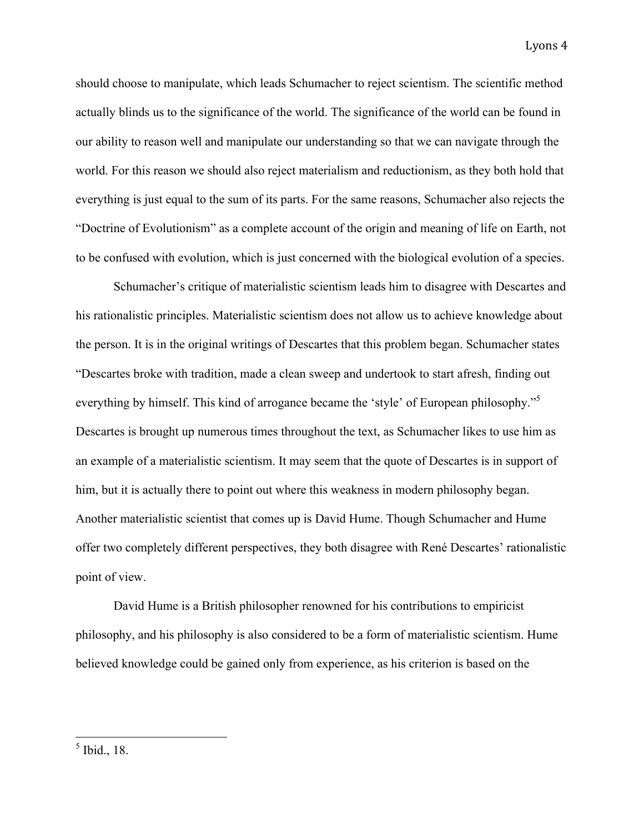should choose to manipulate, which leads Schumacher to reject scientism. The scientific method actually blinds us to the significance of the world. The significance of the world can be found in our ability to reason well and manipulate our understanding so that we can navigate through the world. For this reason we should also reject materialism and reductionism, as they both hold that everything is just equal to the sum of its parts. For the same reasons, Schumacher also rejects the "Doctrine of Evolutionism" as a complete account of the origin and meaning of life on Earth, not to be confused with evolution, which is just concerned with the biological evolution of a species.

Schumacher's critique of materialistic scientism leads him to disagree with Descartes and his rationalistic principles. Materialistic scientism does not allow us to achieve knowledge about the person. It is in the original writings of Descartes that this problem began. Schumacher states "Descartes broke with tradition, made a clean sweep and undertook to start afresh, finding out everything by himself. This kind of arrogance became the 'style' of European philosophy."<sup>5</sup> Descartes is brought up numerous times throughout the text, as Schumacher likes to use him as an example of a materialistic scientism. It may seem that the quote of Descartes is in support of him, but it is actually there to point out where this weakness in modern philosophy began. Another materialistic scientist that comes up is David Hume. Though Schumacher and Hume offer two completely different perspectives, they both disagree with René Descartes' rationalistic point of view.

David Hume is a British philosopher renowned for his contributions to empiricist philosophy, and his philosophy is also considered to be a form of materialistic scientism. Hume believed knowledge could be gained only from experience, as his criterion is based on the

 <sup>5</sup> Ibid., 18.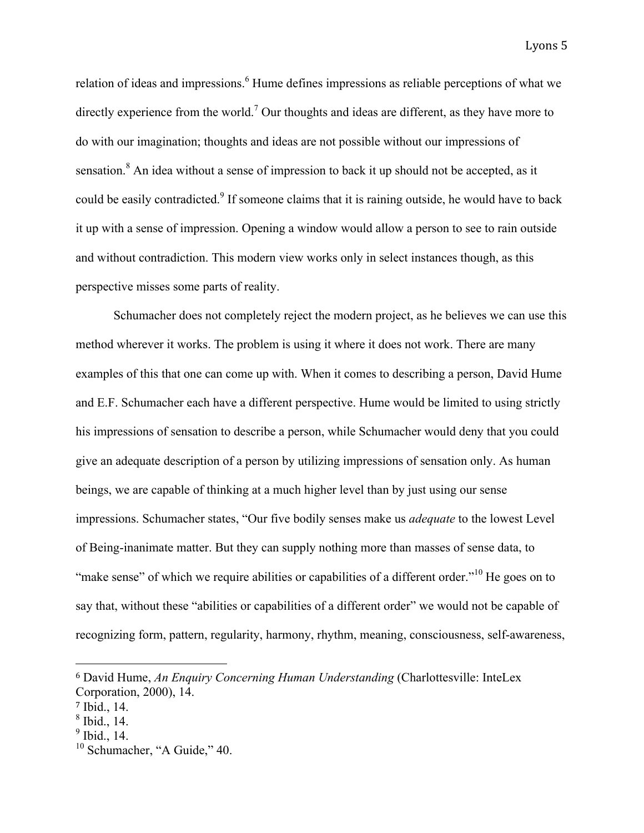relation of ideas and impressions.<sup>6</sup> Hume defines impressions as reliable perceptions of what we directly experience from the world.<sup>7</sup> Our thoughts and ideas are different, as they have more to do with our imagination; thoughts and ideas are not possible without our impressions of sensation.<sup>8</sup> An idea without a sense of impression to back it up should not be accepted, as it could be easily contradicted.<sup>9</sup> If someone claims that it is raining outside, he would have to back it up with a sense of impression. Opening a window would allow a person to see to rain outside and without contradiction. This modern view works only in select instances though, as this perspective misses some parts of reality.

Schumacher does not completely reject the modern project, as he believes we can use this method wherever it works. The problem is using it where it does not work. There are many examples of this that one can come up with. When it comes to describing a person, David Hume and E.F. Schumacher each have a different perspective. Hume would be limited to using strictly his impressions of sensation to describe a person, while Schumacher would deny that you could give an adequate description of a person by utilizing impressions of sensation only. As human beings, we are capable of thinking at a much higher level than by just using our sense impressions. Schumacher states, "Our five bodily senses make us *adequate* to the lowest Level of Being-inanimate matter. But they can supply nothing more than masses of sense data, to "make sense" of which we require abilities or capabilities of a different order."<sup>10</sup> He goes on to say that, without these "abilities or capabilities of a different order" we would not be capable of recognizing form, pattern, regularity, harmony, rhythm, meaning, consciousness, self-awareness,

 <sup>6</sup> David Hume, *An Enquiry Concerning Human Understanding* (Charlottesville: InteLex Corporation, 2000), 14.

<sup>7</sup> Ibid., 14.

 $<sup>8</sup>$  Ibid., 14.</sup>

 $<sup>9</sup>$  Ibid., 14.</sup>

<sup>&</sup>lt;sup>10</sup> Schumacher, "A Guide," 40.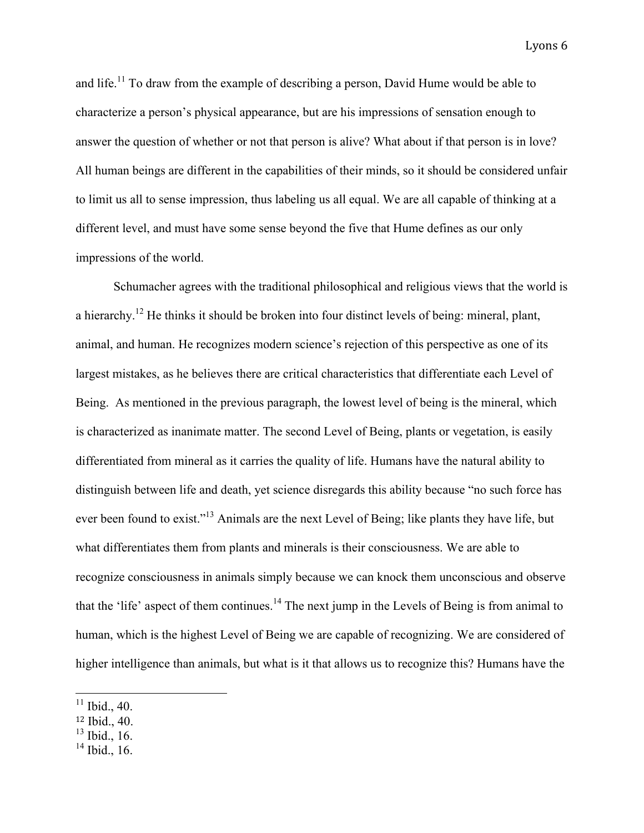and life.<sup>11</sup> To draw from the example of describing a person, David Hume would be able to characterize a person's physical appearance, but are his impressions of sensation enough to answer the question of whether or not that person is alive? What about if that person is in love? All human beings are different in the capabilities of their minds, so it should be considered unfair to limit us all to sense impression, thus labeling us all equal. We are all capable of thinking at a different level, and must have some sense beyond the five that Hume defines as our only impressions of the world.

Schumacher agrees with the traditional philosophical and religious views that the world is a hierarchy.<sup>12</sup> He thinks it should be broken into four distinct levels of being: mineral, plant, animal, and human. He recognizes modern science's rejection of this perspective as one of its largest mistakes, as he believes there are critical characteristics that differentiate each Level of Being. As mentioned in the previous paragraph, the lowest level of being is the mineral, which is characterized as inanimate matter. The second Level of Being, plants or vegetation, is easily differentiated from mineral as it carries the quality of life. Humans have the natural ability to distinguish between life and death, yet science disregards this ability because "no such force has ever been found to exist."13 Animals are the next Level of Being; like plants they have life, but what differentiates them from plants and minerals is their consciousness. We are able to recognize consciousness in animals simply because we can knock them unconscious and observe that the 'life' aspect of them continues.<sup>14</sup> The next jump in the Levels of Being is from animal to human, which is the highest Level of Being we are capable of recognizing. We are considered of higher intelligence than animals, but what is it that allows us to recognize this? Humans have the

 $11$  Ibid., 40.

<sup>12</sup> Ibid., 40.

 $13$  Ibid., 16.

<sup>&</sup>lt;sup>14</sup> Ibid., 16.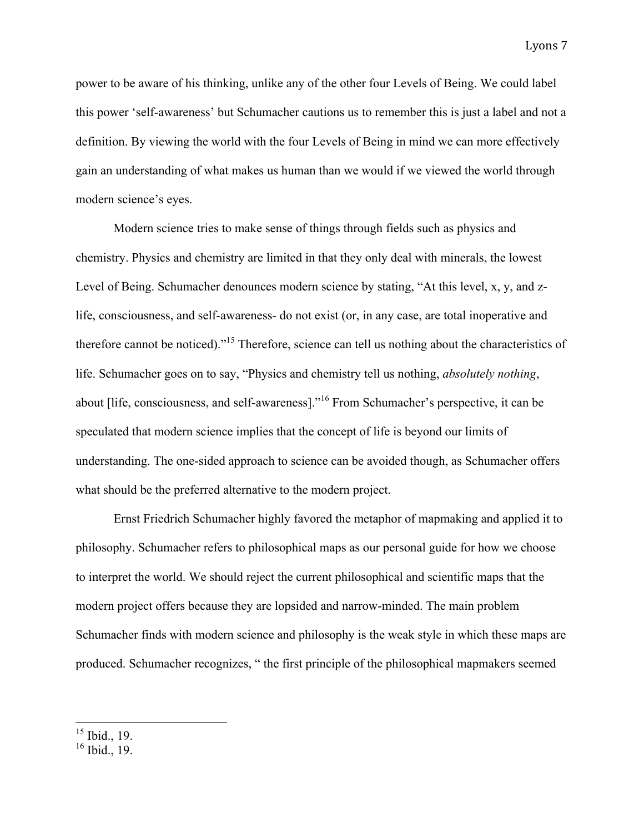power to be aware of his thinking, unlike any of the other four Levels of Being. We could label this power 'self-awareness' but Schumacher cautions us to remember this is just a label and not a definition. By viewing the world with the four Levels of Being in mind we can more effectively gain an understanding of what makes us human than we would if we viewed the world through modern science's eyes.

Modern science tries to make sense of things through fields such as physics and chemistry. Physics and chemistry are limited in that they only deal with minerals, the lowest Level of Being. Schumacher denounces modern science by stating, "At this level, x, y, and zlife, consciousness, and self-awareness- do not exist (or, in any case, are total inoperative and therefore cannot be noticed)."15 Therefore, science can tell us nothing about the characteristics of life. Schumacher goes on to say, "Physics and chemistry tell us nothing, *absolutely nothing*, about [life, consciousness, and self-awareness]."<sup>16</sup> From Schumacher's perspective, it can be speculated that modern science implies that the concept of life is beyond our limits of understanding. The one-sided approach to science can be avoided though, as Schumacher offers what should be the preferred alternative to the modern project.

Ernst Friedrich Schumacher highly favored the metaphor of mapmaking and applied it to philosophy. Schumacher refers to philosophical maps as our personal guide for how we choose to interpret the world. We should reject the current philosophical and scientific maps that the modern project offers because they are lopsided and narrow-minded. The main problem Schumacher finds with modern science and philosophy is the weak style in which these maps are produced. Schumacher recognizes, " the first principle of the philosophical mapmakers seemed

 $15$  Ibid., 19.

 $16 \overline{1}$  Ibid., 19.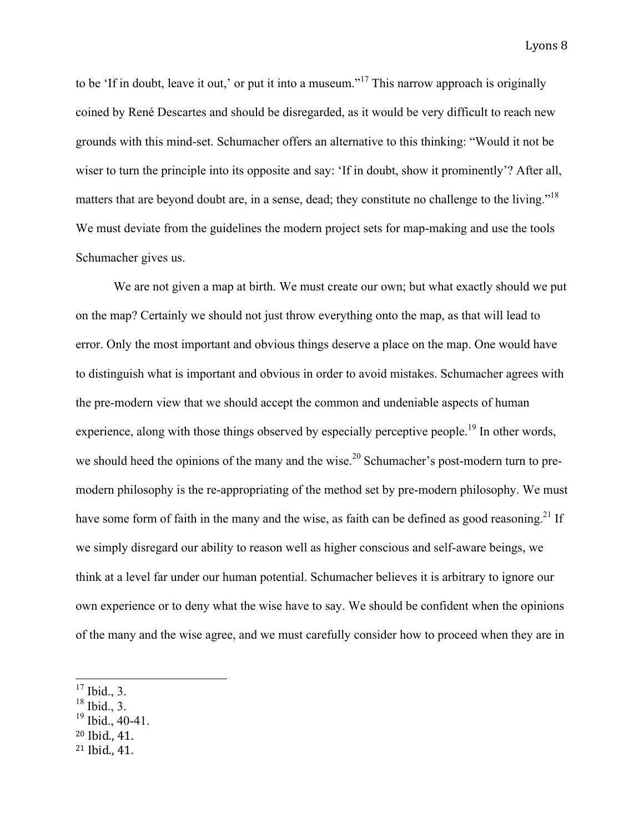to be 'If in doubt, leave it out,' or put it into a museum."<sup>17</sup> This narrow approach is originally coined by René Descartes and should be disregarded, as it would be very difficult to reach new grounds with this mind-set. Schumacher offers an alternative to this thinking: "Would it not be wiser to turn the principle into its opposite and say: 'If in doubt, show it prominently'? After all, matters that are beyond doubt are, in a sense, dead; they constitute no challenge to the living."<sup>18</sup> We must deviate from the guidelines the modern project sets for map-making and use the tools Schumacher gives us.

We are not given a map at birth. We must create our own; but what exactly should we put on the map? Certainly we should not just throw everything onto the map, as that will lead to error. Only the most important and obvious things deserve a place on the map. One would have to distinguish what is important and obvious in order to avoid mistakes. Schumacher agrees with the pre-modern view that we should accept the common and undeniable aspects of human experience, along with those things observed by especially perceptive people.<sup>19</sup> In other words, we should heed the opinions of the many and the wise.<sup>20</sup> Schumacher's post-modern turn to premodern philosophy is the re-appropriating of the method set by pre-modern philosophy. We must have some form of faith in the many and the wise, as faith can be defined as good reasoning.<sup>21</sup> If we simply disregard our ability to reason well as higher conscious and self-aware beings, we think at a level far under our human potential. Schumacher believes it is arbitrary to ignore our own experience or to deny what the wise have to say. We should be confident when the opinions of the many and the wise agree, and we must carefully consider how to proceed when they are in

- $18$  Ibid., 3.
- $^{19}$  Ibid., 40-41.
- <sup>20</sup> Ibid., 41.
- $21$  Ibid., 41.

 $17$  Ibid., 3.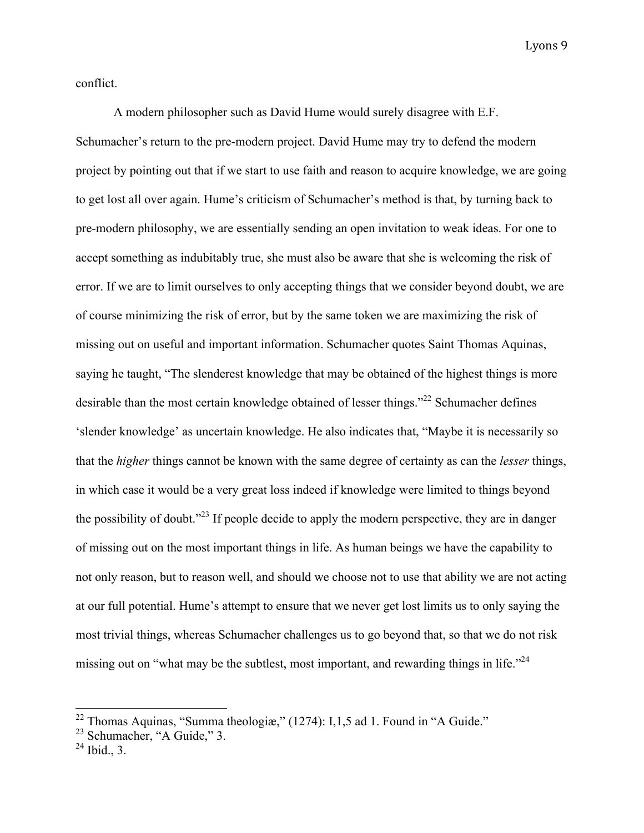conflict.

A modern philosopher such as David Hume would surely disagree with E.F. Schumacher's return to the pre-modern project. David Hume may try to defend the modern project by pointing out that if we start to use faith and reason to acquire knowledge, we are going to get lost all over again. Hume's criticism of Schumacher's method is that, by turning back to pre-modern philosophy, we are essentially sending an open invitation to weak ideas. For one to accept something as indubitably true, she must also be aware that she is welcoming the risk of error. If we are to limit ourselves to only accepting things that we consider beyond doubt, we are of course minimizing the risk of error, but by the same token we are maximizing the risk of missing out on useful and important information. Schumacher quotes Saint Thomas Aquinas, saying he taught, "The slenderest knowledge that may be obtained of the highest things is more desirable than the most certain knowledge obtained of lesser things."<sup>22</sup> Schumacher defines 'slender knowledge' as uncertain knowledge. He also indicates that, "Maybe it is necessarily so that the *higher* things cannot be known with the same degree of certainty as can the *lesser* things, in which case it would be a very great loss indeed if knowledge were limited to things beyond the possibility of doubt."<sup>23</sup> If people decide to apply the modern perspective, they are in danger of missing out on the most important things in life. As human beings we have the capability to not only reason, but to reason well, and should we choose not to use that ability we are not acting at our full potential. Hume's attempt to ensure that we never get lost limits us to only saying the most trivial things, whereas Schumacher challenges us to go beyond that, so that we do not risk missing out on "what may be the subtlest, most important, and rewarding things in life." $^{24}$ 

 $22$  Thomas Aquinas, "Summa theologiæ," (1274): I,1,5 ad 1. Found in "A Guide."

 $^{23}$  Schumacher, "A Guide," 3.

 $^{24}$  Ibid., 3.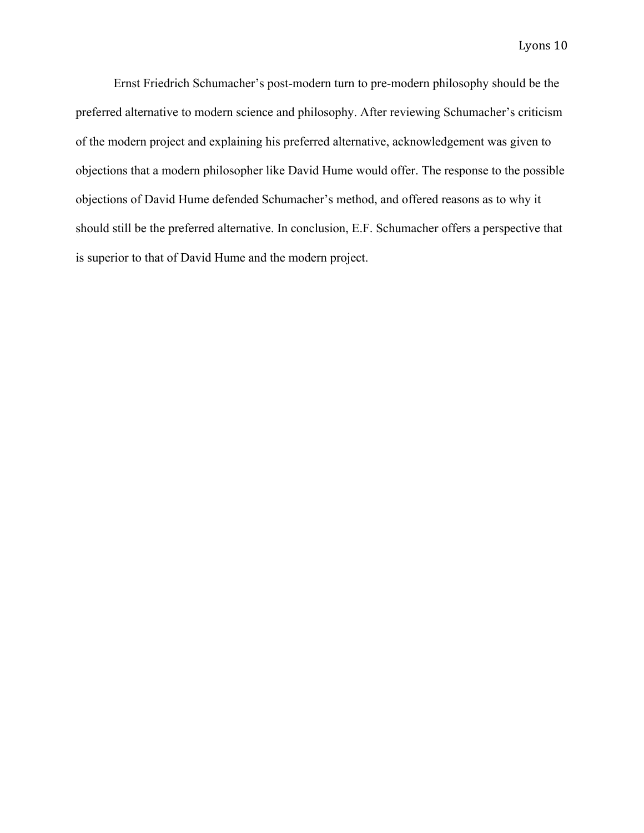Ernst Friedrich Schumacher's post-modern turn to pre-modern philosophy should be the preferred alternative to modern science and philosophy. After reviewing Schumacher's criticism of the modern project and explaining his preferred alternative, acknowledgement was given to objections that a modern philosopher like David Hume would offer. The response to the possible objections of David Hume defended Schumacher's method, and offered reasons as to why it should still be the preferred alternative. In conclusion, E.F. Schumacher offers a perspective that is superior to that of David Hume and the modern project.